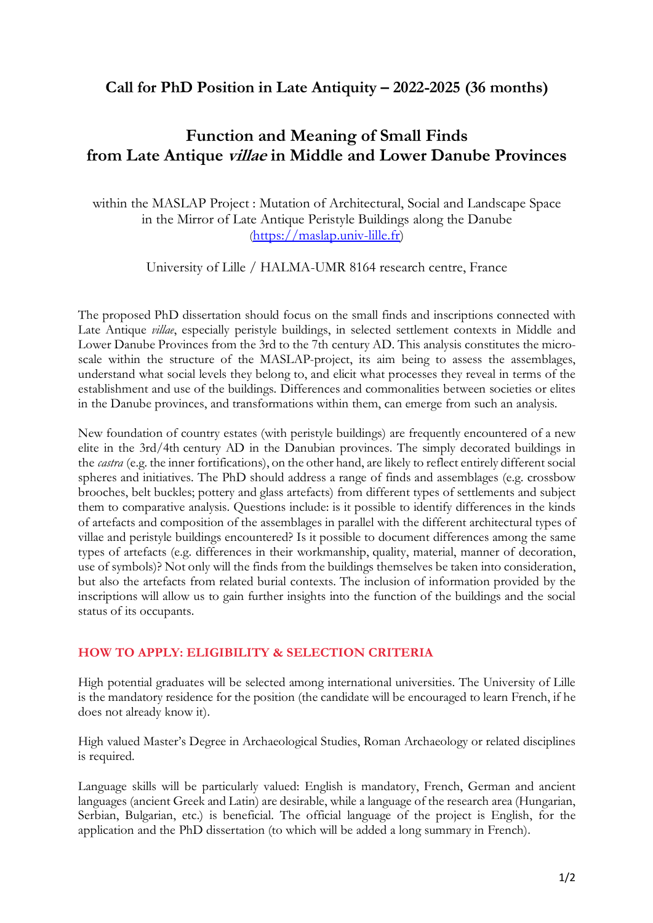## **Call for PhD Position in Late Antiquity – 2022-2025 (36 months)**

# **Function and Meaning of Small Finds from Late Antique villae in Middle and Lower Danube Provinces**

within the MASLAP Project : Mutation of Architectural, Social and Landscape Space in the Mirror of Late Antique Peristyle Buildings along the Danube (https://maslap.univ-lille.fr)

University of Lille / HALMA-UMR 8164 research centre, France

The proposed PhD dissertation should focus on the small finds and inscriptions connected with Late Antique *villae*, especially peristyle buildings, in selected settlement contexts in Middle and Lower Danube Provinces from the 3rd to the 7th century AD. This analysis constitutes the microscale within the structure of the MASLAP-project, its aim being to assess the assemblages, understand what social levels they belong to, and elicit what processes they reveal in terms of the establishment and use of the buildings. Differences and commonalities between societies or elites in the Danube provinces, and transformations within them, can emerge from such an analysis.

New foundation of country estates (with peristyle buildings) are frequently encountered of a new elite in the 3rd/4th century AD in the Danubian provinces. The simply decorated buildings in the *castra* (e.g. the inner fortifications), on the other hand, are likely to reflect entirely different social spheres and initiatives. The PhD should address a range of finds and assemblages (e.g. crossbow brooches, belt buckles; pottery and glass artefacts) from different types of settlements and subject them to comparative analysis. Questions include: is it possible to identify differences in the kinds of artefacts and composition of the assemblages in parallel with the different architectural types of villae and peristyle buildings encountered? Is it possible to document differences among the same types of artefacts (e.g. differences in their workmanship, quality, material, manner of decoration, use of symbols)? Not only will the finds from the buildings themselves be taken into consideration, but also the artefacts from related burial contexts. The inclusion of information provided by the inscriptions will allow us to gain further insights into the function of the buildings and the social status of its occupants.

## **HOW TO APPLY: ELIGIBILITY & SELECTION CRITERIA**

High potential graduates will be selected among international universities. The University of Lille is the mandatory residence for the position (the candidate will be encouraged to learn French, if he does not already know it).

High valued Master's Degree in Archaeological Studies, Roman Archaeology or related disciplines is required.

Language skills will be particularly valued: English is mandatory, French, German and ancient languages (ancient Greek and Latin) are desirable, while a language of the research area (Hungarian, Serbian, Bulgarian, etc.) is beneficial. The official language of the project is English, for the application and the PhD dissertation (to which will be added a long summary in French).